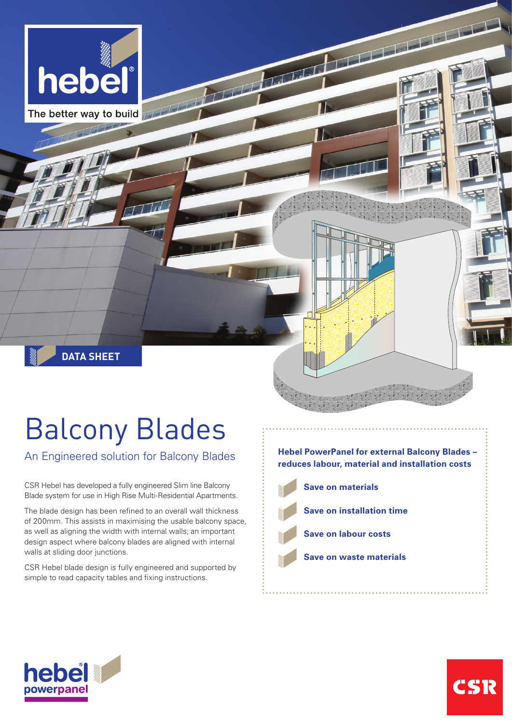

The better way to build TITT

# Balcony Blades

**DATA SHEET**

An Engineered solution for Balcony Blades

CSR Hebel has developed a fully engineered Slim line Balcony Blade system for use in High Rise Multi-Residential Apartments.

The blade design has been refined to an overall wall thickness of 200mm. This assists in maximising the usable balcony space, as well as aligning the width with internal walls; an important design aspect where balcony blades are aligned with internal walls at sliding door junctions.

CSR Hebel blade design is fully engineered and supported by simple to read capacity tables and fixing instructions.

**Hebel PowerPanel for external Balcony Blades – reduces labour, material and installation costs Save on materials**

 $\sqrt{1}$ 

- **Save on installation time**
- **Save on labour costs**
	- **Save on waste materials**